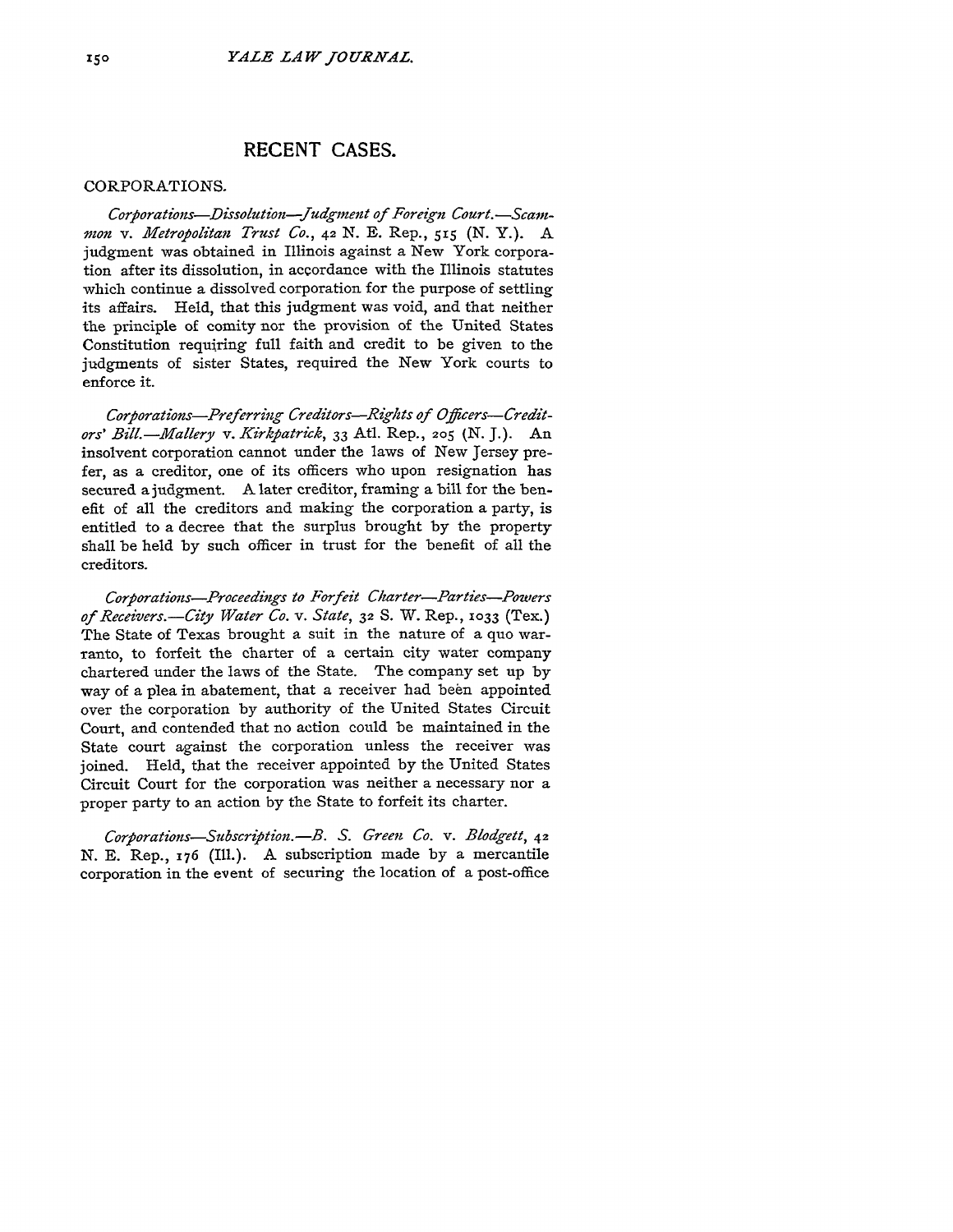# **RECENT CASES.**

## CORPORATIONS.

*Corporations-Dissolution-Judgment of Foreign Court.-Scammon v. Metropolitan Trust Co.,* 42 N. **E.** Rep., *515* (N. Y.). A judgment was obtained in Illinois against a New York corporation after its dissolution, in accordance with the Illinois statutes which continue a dissolved corporation for the purpose of settling its affairs. Held, that this judgment was void, and that neither the principle of comity nor the provision of the United States Constitution requiring full faith and credit to be given to the judgments of sister States, required the New York courts to enforce it.

*Corporations-Preferring Creditors-Rig/its of Officers-Creditors' Bill.-Mallery v. Kirkpatrick,* 33 At1. Rep., **205** (N. J.). An insolvent corporation cannot under the laws of New Jersey prefer, as a creditor, one of its officers who upon resignation has secured a judgment. A later creditor, framing a bill for the benefit of all the creditors and making the corporation a party, is entitled to a decree that the surplus brought by the property shall be held by such officer in trust for the benefit of all the creditors.

*Corporations-Proceedings to Forfeit Charter-Parties-Powers of Receivers.-City Water Co. v. State,* **32** S. W. Rep., **1033** (Tex.) The State of Texas brought a suit in the nature of a quo warranto, to forfeit the charter of a certain city water company chartered under the laws of the State. The company set up by way of a plea in abatement, that a receiver had been appointed over the corporation by authority of the United States Circuit Court, and contended that no action could be maintained in the State court against the corporation unless the receiver was joined. Held, that the receiver appointed by the United States Circuit Court for the corporation was neither a necessary nor a proper party to an action by the State to forfeit its charter.

*Corporations-Subscription.-B. S. Green Co. v. Blodgett, 42* N. **E.** Rep., **176** (Ill.). A subscription made by a mercantile corporation in the event of securing the location of a post-office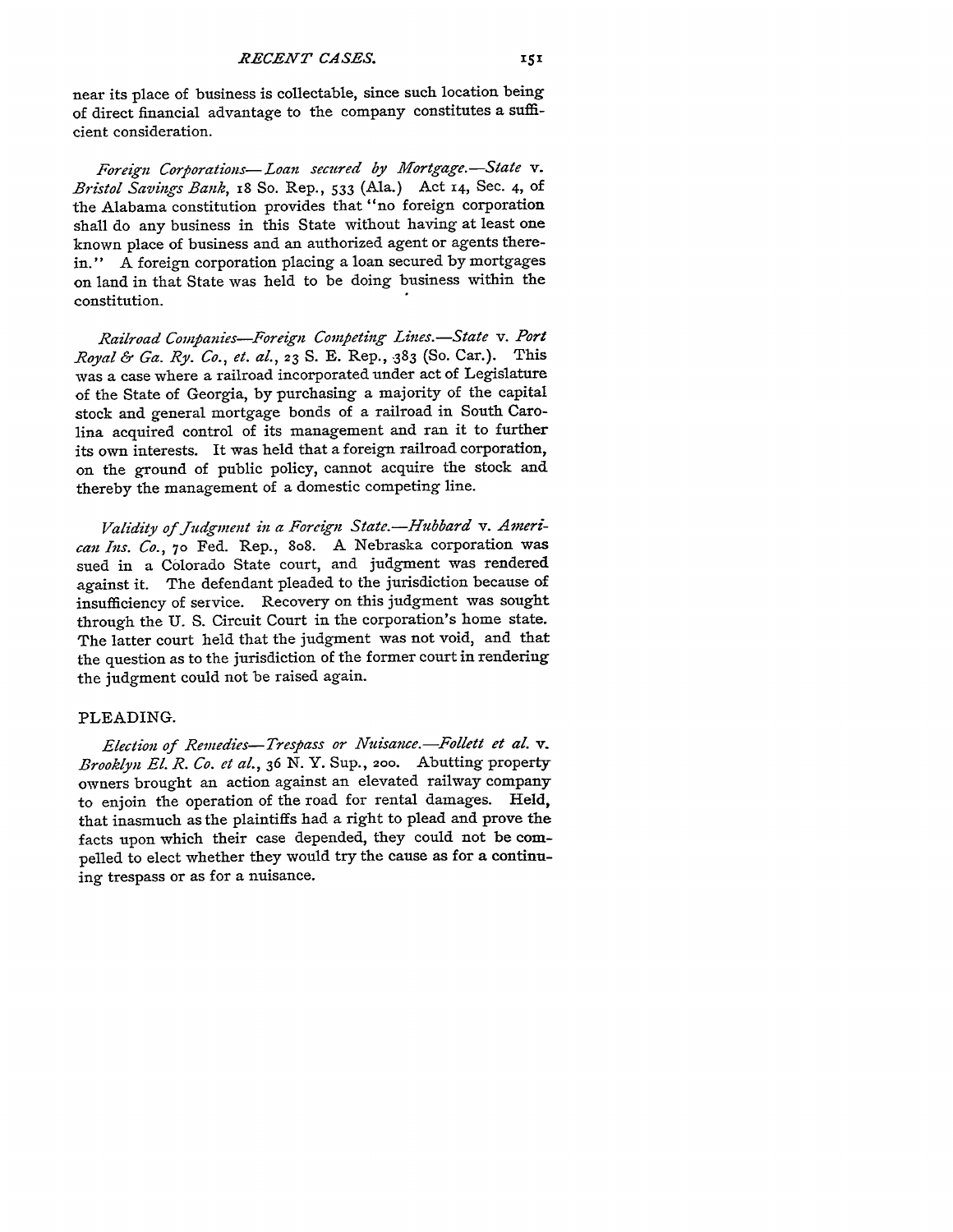near its place of business is collectable, since such location being of direct financial advantage to the company constitutes a sufficient consideration.

*Foreign Corporations- Loan secured by Mortgage.-State v. Bristol Savings Bank,* 18 So. Rep., 533 (Ala.) Act 14, Sec. 4, **of** the Alabama constitution provides that "no foreign corporation shall do any business in this State without having at least one known place of business and an authorized agent or agents therein." A foreign corporation placing a loan secured by mortgages on land in that State was held to be doing business within the constitution.

*Railroad Companies-Foreign Competing Lines.-State v. Port Royal & Ga. Ry. Co., et. al.,* **23 S.** E. Rep., .383 (So. Car.). This was a case where a railroad incorporated under act of Legislature of the State of Georgia, by purchasing a majority of the capital stock and general mortgage bonds of a railroad in South Carolina acquired control of its management and ran it to further its own interests. It was held that a foreign railroad corporation, on the ground of public policy, cannot acquire the stock and thereby the management of a domestic competing line.

*Validity of Judgment in a Foreign State. -Hubbard v. American Ins. Co.,* **70** Fed. Rep., 8o8. A Nebraska corporation was sued in a Colorado State court, and judgment was rendered against it. The defendant pleaded to the jurisdiction because of insufficiency of service. Recovery on this judgment was sought through the U. S. Circuit Court in the corporation's home state. The latter court held that the judgment was not void, and that the question as to the jurisdiction of the former court in rendering the judgment could not be raised again.

#### PLEADING.

*Election of Remedies- Trespass or Nuisance.-Follett et al.* v. *Brooklyn El. R. Co. et al.,* **36** N. Y. Sup., 2oo. Abutting property owners brought an action against an elevated railway company to enjoin the operation of the road for rental damages. Held, that inasmuch as the plaintiffs had a right to plead and prove the facts upon which their case depended, they could not be compelled to elect whether they would try the cause as for a continuing trespass or as for a nuisance.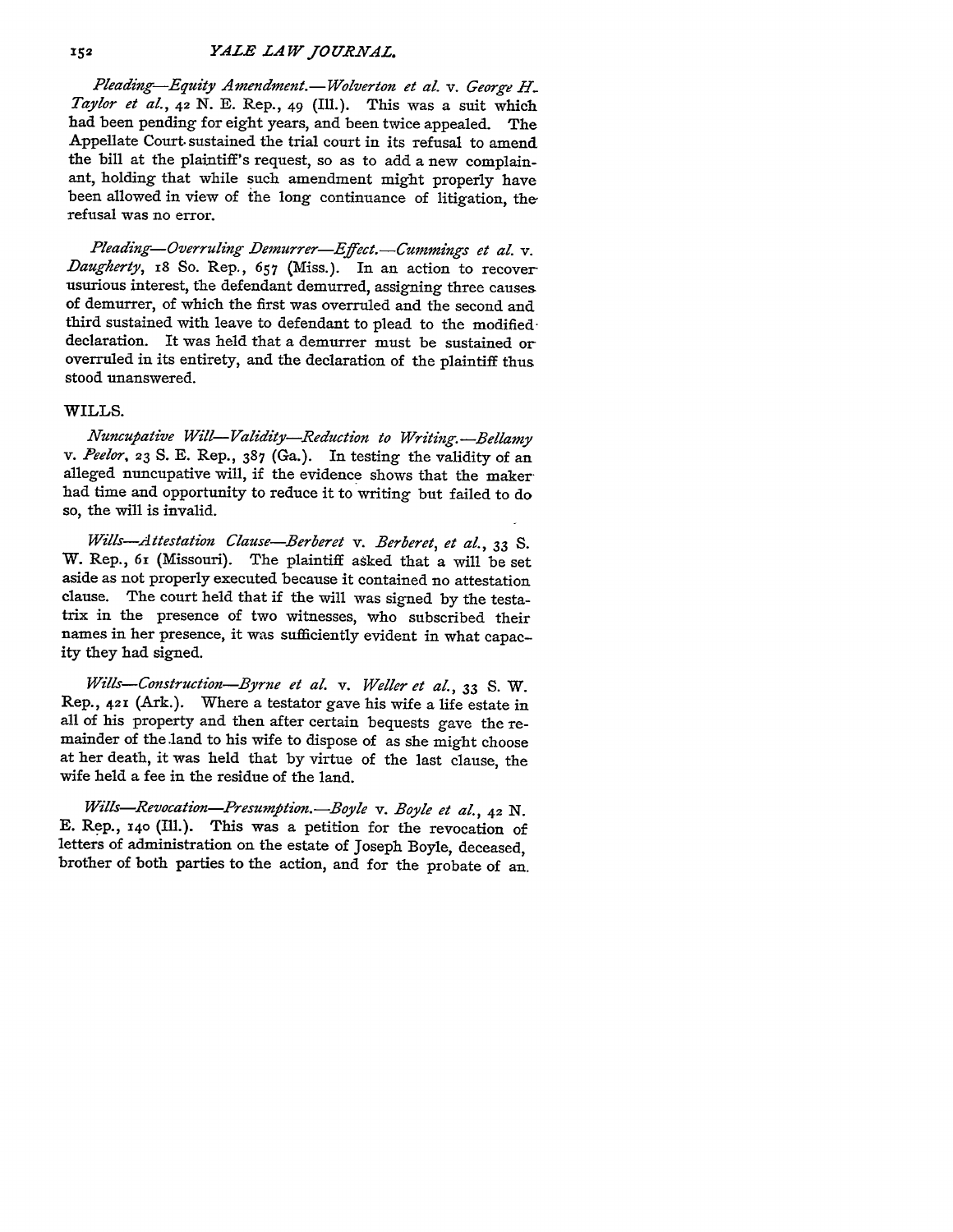Pleading-Equity Amendment.-Wolverton et al. v. George H. *Taylor et al.,* 42 N. **E.** Rep., **49** (Ill.). This was a suit which had been pending for eight years, and been twice appealed. The Appellate Court. sustained the trial court in its refusal to amend the bill at the plaintiff's request, so as to add a new complainant, holding that while such amendment might properly have been allowed in view of the long continuance of litigation, the refusal was no error.

*Pleading-Overruling Demurrer-Effect.-Cummings et al. v. Daugherty,* **i8** So. Rep., **657** (Miss.). In an action to recover usurious interest, the defendant demurred, assigning three causes of demurrer, of which the first was overruled and the second and third sustained with leave to defendant to plead to the modifieddeclaration. It was held that a demurrer must be sustained or overruled in its entirety, and the declaration of the plaintiff thus stood unanswered.

#### WILLS.

*Nuncupative Will- Validity-Reduction to Writing.-Bellamy v. Peelor,* **23** S. **E.** Rep., 387 (Ga.). In testing the validity of an alleged nuncupative will, if the evidence shows that the maker had time and opportunity to reduce it to writing but failed to do so, the will is invalid.

*Wills-Attestation Clause-Berberet v. Berberet, et al., 33 S.* W. Rep., 61 (Missouri). The plaintiff asked that a will be set aside as not properly executed because it contained no attestation clause. The court held that if the will was signed by the testatrix in the presence of two witnesses, who subscribed their names in her presence, it was sufficiently evident in what capacity they had signed.

*Wills-Construction-Byrne et al. v. Weller et al., 33* S. W. Rep., **421** (Ark.). Where a testator gave his wife a life estate in all of his property and then after certain bequests gave the remainder of the land to his wife to dispose of as she might choose at her death, it was held that by virtue of the last clause, the wife held a fee in the residue of the land.

*Wills-Revocation-Presumption. -Boyle v. Boyle et al.,* 42 **N. E.** Rep., **140** (Ill.). This was a petition for the revocation of letters of administration on the estate of Joseph Boyle, deceased, brother of both parties to the action, and for the probate of an.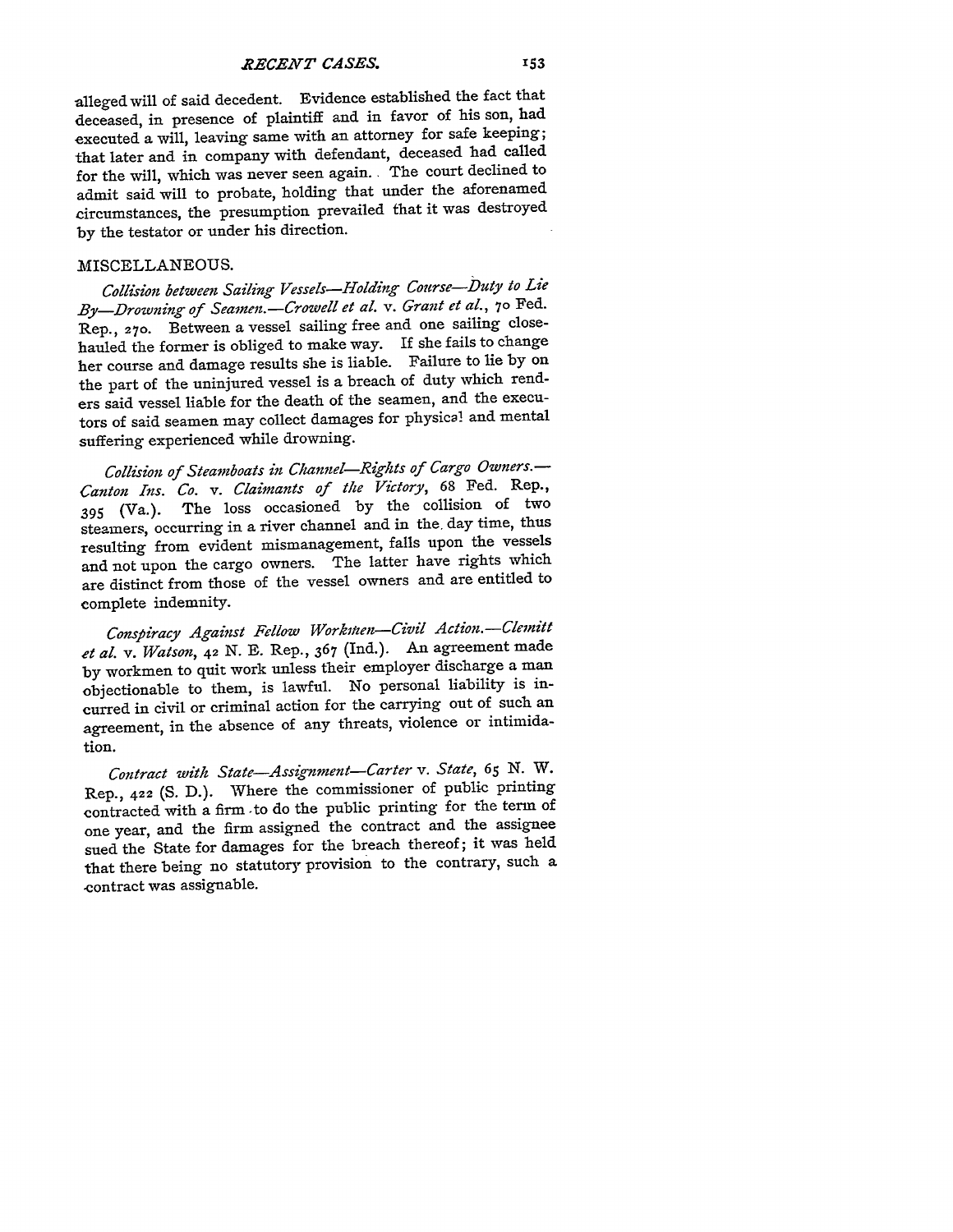*.RECENT CASES.*

alleged will of said decedent. Evidence established the fact that deceased, in presence of plaintiff and in favor of his son, had executed a will, leaving same with an attorney for safe keeping; that later and in company with defendant, deceased had called for the will, which was never seen again. The court declined to admit said will to probate, holding that under the aforenamed circumstances, the presumption prevailed that it was destroyed **by** the testator or under his direction.

## **MISCELLANEOUS.**

*Collision between Sailing Vessels-Holding Course-Duty to Lie By-Drowning of Seamen.-Crowell et al. v. Grant et al.,* **7o** Fed. Rep., **270.** Between a vessel sailing free and one sailing closehauled the former is obliged to make way. If she fails to change her course and damage results she is liable. Failure to lie **by** on the part of the uninjured vessel is a breach of duty which renders said vessel liable for the death of the seamen, and the executors of said seamen may collect damages for physical and mental suffering experienced while drowning.

*Collision of Steamboats in Ciannel-Rigtits of Cargo Owners.- Canton Ins. Co. v. Claimants of the Victory,* **68** Fed. Rep., **<sup>395</sup>**(Va.). The loss occasioned **by** the collision of two steamers, occurring in a river channel and in the, day time, thus resulting from evident mismanagement, falls upon the vessels and not upon the cargo owners. The latter have rights which are distinct from those of the vessel owners and are entitled to complete indemnity.

*Conspiracy Against Fellow Workilen-Civil Action.-Clemitt et al. v. Watson,* **42 N. E.** Rep., **367** (Ind.). An agreement made **by** workmen to quit work unless their employer discharge a man objectionable to them, is lawful. No personal liability is incurred in civil or criminal action for the carrying out of such an agreement, in the absence of any threats, violence or intimidation.

*Contract with State-Assignment-Carter v. State, 65* **N.** W. Rep., **422 (S. D.).** Where the commissioner of public printing contracted with a firm -to do the public printing for the term of one year, and the firm assigned the contract and the assignee sued the State for damages for the breach thereof; it was held that there being no statutory provision to the contrary, such a -contract was assignable.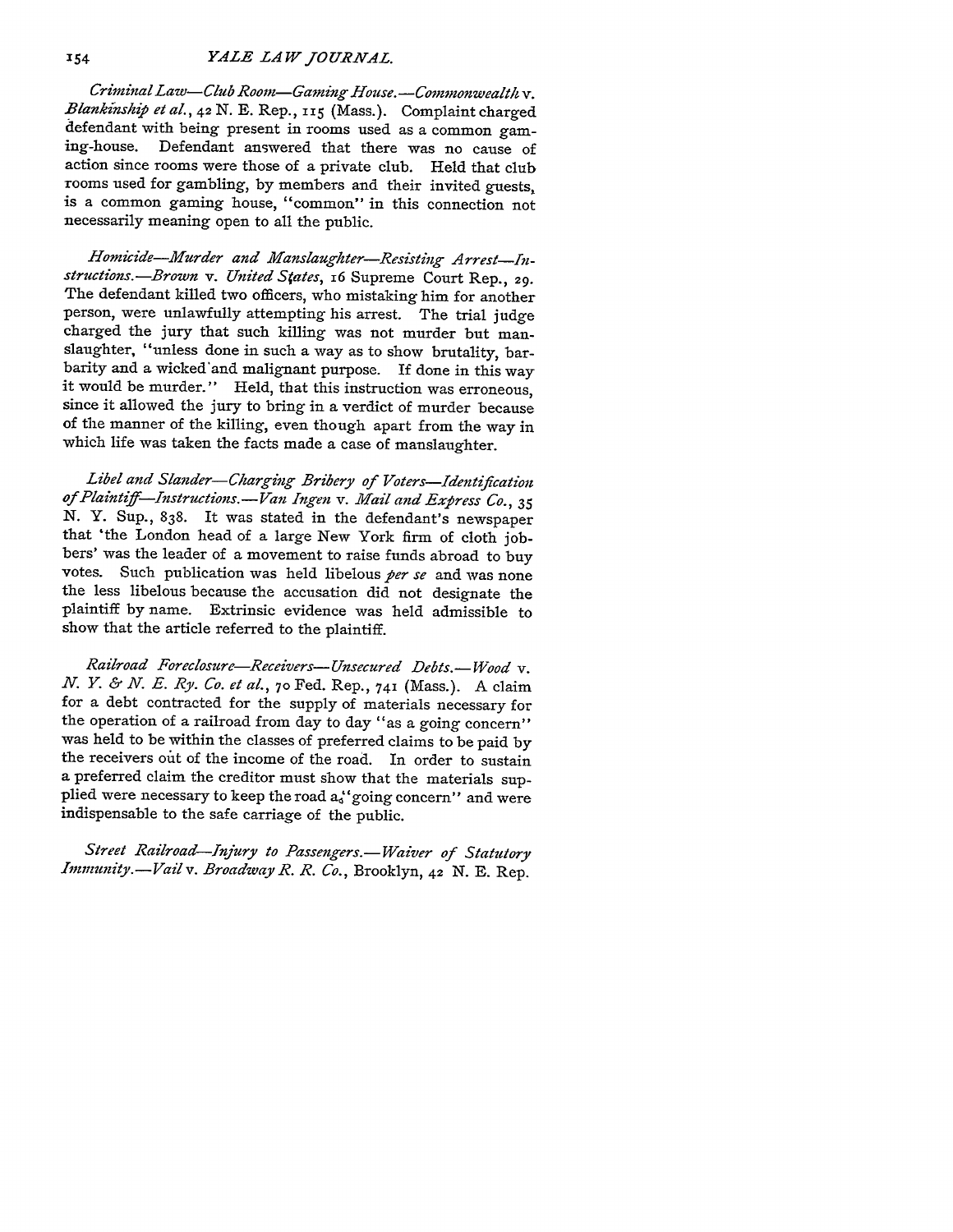### **<sup>154</sup>***YALE LAWJ OURNAL.*

*Criminal Law-Club Room-Gaming House.-Commonwealth* v. *Blankinship et al.*, 42 N. E. Rep., 115 (Mass.). Complaint charged defendant with being present in rooms used as a common gaming-house. Defendant answered that there was no cause of action since rooms were those of a private club. Held that club rooms used for gambling, by members and their invited guests, is a common gaming house, "common" in this connection not necessarily meaning open to all the public.

*Homicide-Murder and Manslaughter-Resisting Arrest-Instructions. -Brown v. United States,* 16 Supreme Court Rep., **29.** The defendant killed two officers, who mistaking him for another person, were unlawfully attempting his arrest. The trial judge charged the jury that such killing was not murder but manslaughter, "unless done in such a way as to show brutality, barbarity and a wicked'and malignant purpose. If done in this way it would be murder." Held, that this instruction was erroneous, since it allowed the jury to bring in a verdict of murder because of the manner of the killing, even though apart from the way in which life was taken the facts made a case of manslaughter.

*Libel and Slander-Charging Bribery of Voters-Identification of Plaintiff-Instructions.* **-** *Van Ingen v. Mail and Express Co., <sup>35</sup>* N. Y. Sup., 838. It was stated in the defendant's newspaper that 'the London head of a large New York firm of cloth jobbers' was the leader of a movement to raise funds abroad to buy votes. Such publication was held libelous *per se* and was none the less libelous because the accusation did not designate the plaintiff by name. Extrinsic evidence was held admissible to show that the article referred to the plaintiff.

*Railroad Foreclosure-Receivers- Unsecured Debts.-Wood v. N Y. & N. E. Ry. Co. et al.,* 7o Fed. Rep., **741** (Mass.). A claim for a debt contracted for the supply of materials necessary for the operation of a railroad from day to day "as a going concern" was held to be within the classes of preferred claims to be paid by the receivers out of the income of the road. In order to sustain a preferred claim the creditor must show that the materials supplied were necessary to keep the road  $a_4$ " going concern" and were indispensable to the safe carriage of the public.

*Street Railroad-Injury to Passengers.- Waiver of Statutory wimnunity.- Vail v. Broadway.R. R. Co.,* Brooklyn, **42** N. **E.** Rep.